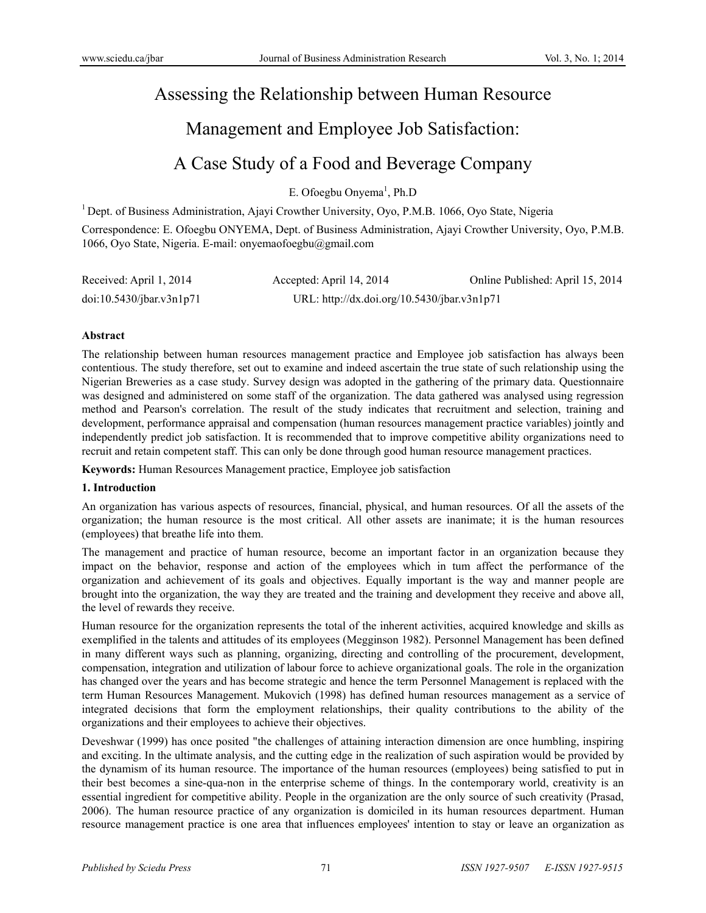# Assessing the Relationship between Human Resource

# Management and Employee Job Satisfaction:

# A Case Study of a Food and Beverage Company

E. Ofoegbu Onyema<sup>1</sup>, Ph.D

<sup>1</sup> Dept. of Business Administration, Ajayi Crowther University, Oyo, P.M.B. 1066, Oyo State, Nigeria Correspondence: E. Ofoegbu ONYEMA, Dept. of Business Administration, Ajayi Crowther University, Oyo, P.M.B. 1066, Oyo State, Nigeria. E-mail: onyemaofoegbu@gmail.com

| Received: April 1, 2014  | Accepted: April 14, 2014                    | Online Published: April 15, 2014 |
|--------------------------|---------------------------------------------|----------------------------------|
| doi:10.5430/jbar.v3n1p71 | URL: http://dx.doi.org/10.5430/jbar.v3n1p71 |                                  |

# **Abstract**

The relationship between human resources management practice and Employee job satisfaction has always been contentious. The study therefore, set out to examine and indeed ascertain the true state of such relationship using the Nigerian Breweries as a case study. Survey design was adopted in the gathering of the primary data. Questionnaire was designed and administered on some staff of the organization. The data gathered was analysed using regression method and Pearson's correlation. The result of the study indicates that recruitment and selection, training and development, performance appraisal and compensation (human resources management practice variables) jointly and independently predict job satisfaction. It is recommended that to improve competitive ability organizations need to recruit and retain competent staff. This can only be done through good human resource management practices.

**Keywords:** Human Resources Management practice, Employee job satisfaction

# **1. Introduction**

An organization has various aspects of resources, financial, physical, and human resources. Of all the assets of the organization; the human resource is the most critical. All other assets are inanimate; it is the human resources (employees) that breathe life into them.

The management and practice of human resource, become an important factor in an organization because they impact on the behavior, response and action of the employees which in tum affect the performance of the organization and achievement of its goals and objectives. Equally important is the way and manner people are brought into the organization, the way they are treated and the training and development they receive and above all, the level of rewards they receive.

Human resource for the organization represents the total of the inherent activities, acquired knowledge and skills as exemplified in the talents and attitudes of its employees (Megginson 1982). Personnel Management has been defined in many different ways such as planning, organizing, directing and controlling of the procurement, development, compensation, integration and utilization of labour force to achieve organizational goals. The role in the organization has changed over the years and has become strategic and hence the term Personnel Management is replaced with the term Human Resources Management. Mukovich (1998) has defined human resources management as a service of integrated decisions that form the employment relationships, their quality contributions to the ability of the organizations and their employees to achieve their objectives.

Deveshwar (1999) has once posited "the challenges of attaining interaction dimension are once humbling, inspiring and exciting. In the ultimate analysis, and the cutting edge in the realization of such aspiration would be provided by the dynamism of its human resource. The importance of the human resources (employees) being satisfied to put in their best becomes a sine-qua-non in the enterprise scheme of things. In the contemporary world, creativity is an essential ingredient for competitive ability. People in the organization are the only source of such creativity (Prasad, 2006). The human resource practice of any organization is domiciled in its human resources department. Human resource management practice is one area that influences employees' intention to stay or leave an organization as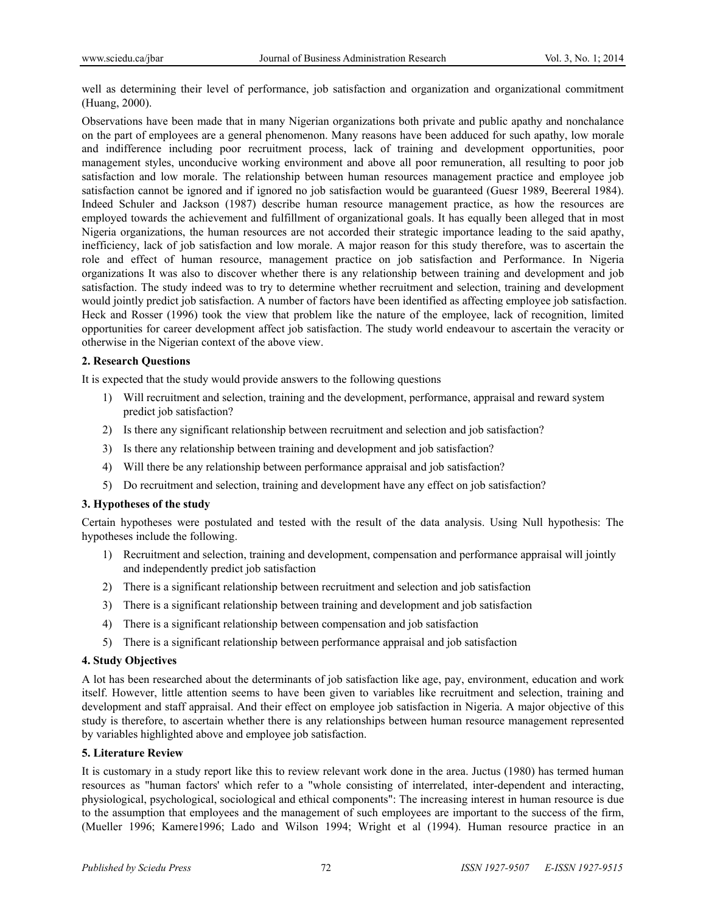well as determining their level of performance, job satisfaction and organization and organizational commitment (Huang, 2000).

Observations have been made that in many Nigerian organizations both private and public apathy and nonchalance on the part of employees are a general phenomenon. Many reasons have been adduced for such apathy, low morale and indifference including poor recruitment process, lack of training and development opportunities, poor management styles, unconducive working environment and above all poor remuneration, all resulting to poor job satisfaction and low morale. The relationship between human resources management practice and employee job satisfaction cannot be ignored and if ignored no job satisfaction would be guaranteed (Guesr 1989, Beereral 1984). Indeed Schuler and Jackson (1987) describe human resource management practice, as how the resources are employed towards the achievement and fulfillment of organizational goals. It has equally been alleged that in most Nigeria organizations, the human resources are not accorded their strategic importance leading to the said apathy, inefficiency, lack of job satisfaction and low morale. A major reason for this study therefore, was to ascertain the role and effect of human resource, management practice on job satisfaction and Performance. In Nigeria organizations It was also to discover whether there is any relationship between training and development and job satisfaction. The study indeed was to try to determine whether recruitment and selection, training and development would jointly predict job satisfaction. A number of factors have been identified as affecting employee job satisfaction. Heck and Rosser (1996) took the view that problem like the nature of the employee, lack of recognition, limited opportunities for career development affect job satisfaction. The study world endeavour to ascertain the veracity or otherwise in the Nigerian context of the above view.

# **2. Research Questions**

It is expected that the study would provide answers to the following questions

- 1) Will recruitment and selection, training and the development, performance, appraisal and reward system predict job satisfaction?
- 2) Is there any significant relationship between recruitment and selection and job satisfaction?
- 3) Is there any relationship between training and development and job satisfaction?
- 4) Will there be any relationship between performance appraisal and job satisfaction?
- 5) Do recruitment and selection, training and development have any effect on job satisfaction?

# **3. Hypotheses of the study**

Certain hypotheses were postulated and tested with the result of the data analysis. Using Null hypothesis: The hypotheses include the following.

- 1) Recruitment and selection, training and development, compensation and performance appraisal will jointly and independently predict job satisfaction
- 2) There is a significant relationship between recruitment and selection and job satisfaction
- 3) There is a significant relationship between training and development and job satisfaction
- 4) There is a significant relationship between compensation and job satisfaction
- 5) There is a significant relationship between performance appraisal and job satisfaction

#### **4. Study Objectives**

A lot has been researched about the determinants of job satisfaction like age, pay, environment, education and work itself. However, little attention seems to have been given to variables like recruitment and selection, training and development and staff appraisal. And their effect on employee job satisfaction in Nigeria. A major objective of this study is therefore, to ascertain whether there is any relationships between human resource management represented by variables highlighted above and employee job satisfaction.

# **5. Literature Review**

It is customary in a study report like this to review relevant work done in the area. Juctus (1980) has termed human resources as "human factors' which refer to a "whole consisting of interrelated, inter-dependent and interacting, physiological, psychological, sociological and ethical components": The increasing interest in human resource is due to the assumption that employees and the management of such employees are important to the success of the firm, (Mueller 1996; Kamere1996; Lado and Wilson 1994; Wright et al (1994). Human resource practice in an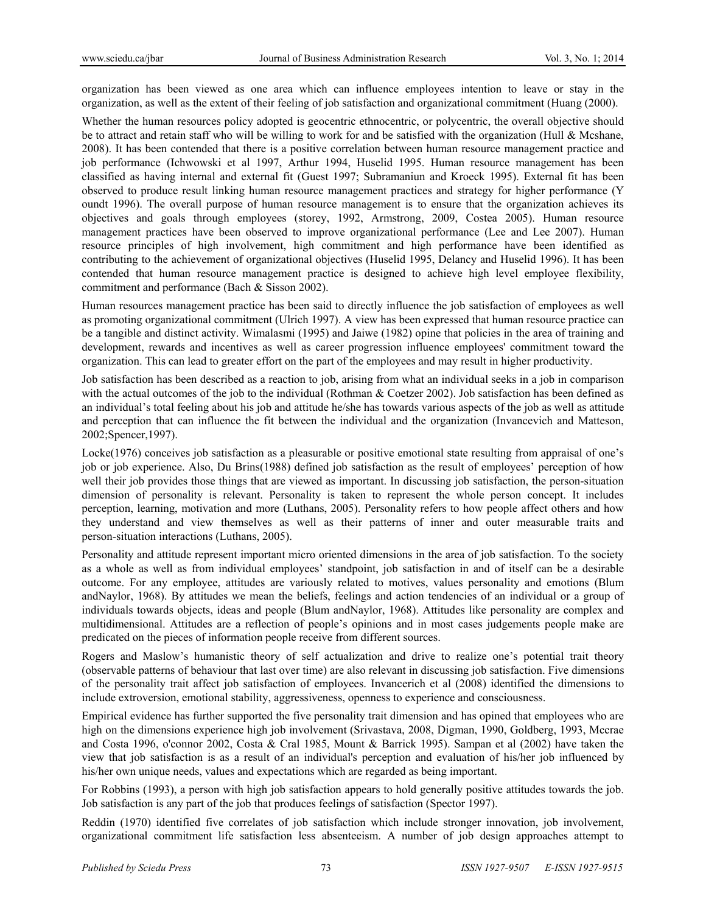organization has been viewed as one area which can influence employees intention to leave or stay in the organization, as well as the extent of their feeling of job satisfaction and organizational commitment (Huang (2000).

Whether the human resources policy adopted is geocentric ethnocentric, or polycentric, the overall objective should be to attract and retain staff who will be willing to work for and be satisfied with the organization (Hull & Mcshane, 2008). It has been contended that there is a positive correlation between human resource management practice and job performance (Ichwowski et al 1997, Arthur 1994, Huselid 1995. Human resource management has been classified as having internal and external fit (Guest 1997; Subramaniun and Kroeck 1995). External fit has been observed to produce result linking human resource management practices and strategy for higher performance (Y oundt 1996). The overall purpose of human resource management is to ensure that the organization achieves its objectives and goals through employees (storey, 1992, Armstrong, 2009, Costea 2005). Human resource management practices have been observed to improve organizational performance (Lee and Lee 2007). Human resource principles of high involvement, high commitment and high performance have been identified as contributing to the achievement of organizational objectives (Huselid 1995, Delancy and Huselid 1996). It has been contended that human resource management practice is designed to achieve high level employee flexibility, commitment and performance (Bach & Sisson 2002).

Human resources management practice has been said to directly influence the job satisfaction of employees as well as promoting organizational commitment (Ulrich 1997). A view has been expressed that human resource practice can be a tangible and distinct activity. Wimalasmi (1995) and Jaiwe (1982) opine that policies in the area of training and development, rewards and incentives as well as career progression influence employees' commitment toward the organization. This can lead to greater effort on the part of the employees and may result in higher productivity.

Job satisfaction has been described as a reaction to job, arising from what an individual seeks in a job in comparison with the actual outcomes of the job to the individual (Rothman & Coetzer 2002). Job satisfaction has been defined as an individual's total feeling about his job and attitude he/she has towards various aspects of the job as well as attitude and perception that can influence the fit between the individual and the organization (Invancevich and Matteson, 2002;Spencer,1997).

Locke(1976) conceives job satisfaction as a pleasurable or positive emotional state resulting from appraisal of one's job or job experience. Also, Du Brins(1988) defined job satisfaction as the result of employees' perception of how well their job provides those things that are viewed as important. In discussing job satisfaction, the person-situation dimension of personality is relevant. Personality is taken to represent the whole person concept. It includes perception, learning, motivation and more (Luthans, 2005). Personality refers to how people affect others and how they understand and view themselves as well as their patterns of inner and outer measurable traits and person-situation interactions (Luthans, 2005).

Personality and attitude represent important micro oriented dimensions in the area of job satisfaction. To the society as a whole as well as from individual employees' standpoint, job satisfaction in and of itself can be a desirable outcome. For any employee, attitudes are variously related to motives, values personality and emotions (Blum andNaylor, 1968). By attitudes we mean the beliefs, feelings and action tendencies of an individual or a group of individuals towards objects, ideas and people (Blum andNaylor, 1968). Attitudes like personality are complex and multidimensional. Attitudes are a reflection of people's opinions and in most cases judgements people make are predicated on the pieces of information people receive from different sources.

Rogers and Maslow's humanistic theory of self actualization and drive to realize one's potential trait theory (observable patterns of behaviour that last over time) are also relevant in discussing job satisfaction. Five dimensions of the personality trait affect job satisfaction of employees. Invancerich et al (2008) identified the dimensions to include extroversion, emotional stability, aggressiveness, openness to experience and consciousness.

Empirical evidence has further supported the five personality trait dimension and has opined that employees who are high on the dimensions experience high job involvement (Srivastava, 2008, Digman, 1990, Goldberg, 1993, Mccrae and Costa 1996, o'connor 2002, Costa & Cral 1985, Mount & Barrick 1995). Sampan et al (2002) have taken the view that job satisfaction is as a result of an individual's perception and evaluation of his/her job influenced by his/her own unique needs, values and expectations which are regarded as being important.

For Robbins (1993), a person with high job satisfaction appears to hold generally positive attitudes towards the job. Job satisfaction is any part of the job that produces feelings of satisfaction (Spector 1997).

Reddin (1970) identified five correlates of job satisfaction which include stronger innovation, job involvement, organizational commitment life satisfaction less absenteeism. A number of job design approaches attempt to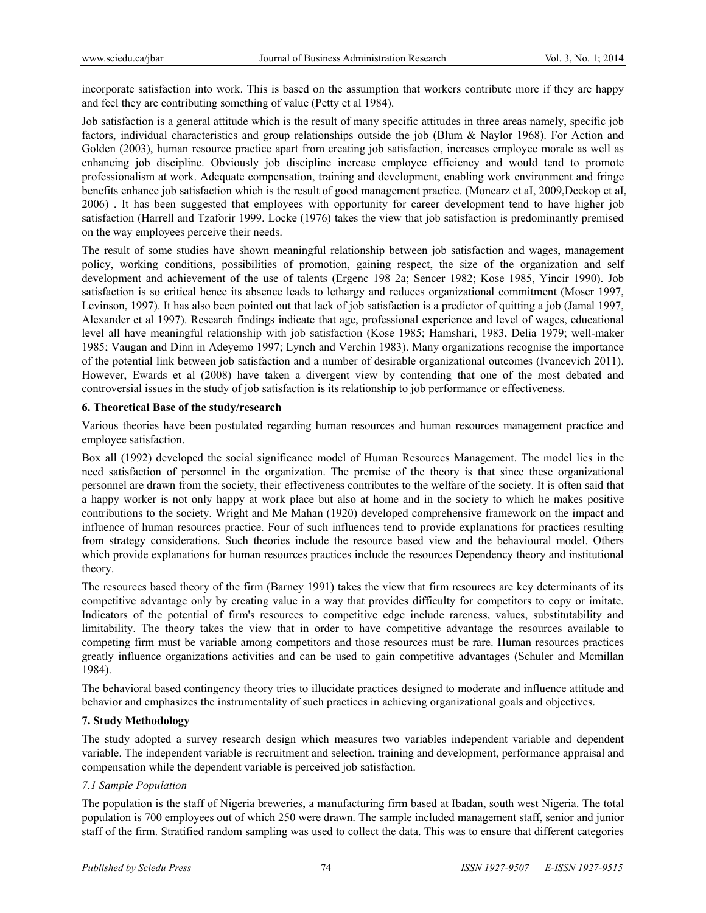incorporate satisfaction into work. This is based on the assumption that workers contribute more if they are happy and feel they are contributing something of value (Petty et al 1984).

Job satisfaction is a general attitude which is the result of many specific attitudes in three areas namely, specific job factors, individual characteristics and group relationships outside the job (Blum & Naylor 1968). For Action and Golden (2003), human resource practice apart from creating job satisfaction, increases employee morale as well as enhancing job discipline. Obviously job discipline increase employee efficiency and would tend to promote professionalism at work. Adequate compensation, training and development, enabling work environment and fringe benefits enhance job satisfaction which is the result of good management practice. (Moncarz et aI, 2009,Deckop et aI, 2006) . It has been suggested that employees with opportunity for career development tend to have higher job satisfaction (Harrell and Tzaforir 1999. Locke (1976) takes the view that job satisfaction is predominantly premised on the way employees perceive their needs.

The result of some studies have shown meaningful relationship between job satisfaction and wages, management policy, working conditions, possibilities of promotion, gaining respect, the size of the organization and self development and achievement of the use of talents (Ergenc 198 2a; Sencer 1982; Kose 1985, Yincir 1990). Job satisfaction is so critical hence its absence leads to lethargy and reduces organizational commitment (Moser 1997, Levinson, 1997). It has also been pointed out that lack of job satisfaction is a predictor of quitting a job (Jamal 1997, Alexander et al 1997). Research findings indicate that age, professional experience and level of wages, educational level all have meaningful relationship with job satisfaction (Kose 1985; Hamshari, 1983, Delia 1979; well-maker 1985; Vaugan and Dinn in Adeyemo 1997; Lynch and Verchin 1983). Many organizations recognise the importance of the potential link between job satisfaction and a number of desirable organizational outcomes (Ivancevich 2011). However, Ewards et al (2008) have taken a divergent view by contending that one of the most debated and controversial issues in the study of job satisfaction is its relationship to job performance or effectiveness.

# **6. Theoretical Base of the study/research**

Various theories have been postulated regarding human resources and human resources management practice and employee satisfaction.

Box all (1992) developed the social significance model of Human Resources Management. The model lies in the need satisfaction of personnel in the organization. The premise of the theory is that since these organizational personnel are drawn from the society, their effectiveness contributes to the welfare of the society. It is often said that a happy worker is not only happy at work place but also at home and in the society to which he makes positive contributions to the society. Wright and Me Mahan (1920) developed comprehensive framework on the impact and influence of human resources practice. Four of such influences tend to provide explanations for practices resulting from strategy considerations. Such theories include the resource based view and the behavioural model. Others which provide explanations for human resources practices include the resources Dependency theory and institutional theory.

The resources based theory of the firm (Barney 1991) takes the view that firm resources are key determinants of its competitive advantage only by creating value in a way that provides difficulty for competitors to copy or imitate. Indicators of the potential of firm's resources to competitive edge include rareness, values, substitutability and limitability. The theory takes the view that in order to have competitive advantage the resources available to competing firm must be variable among competitors and those resources must be rare. Human resources practices greatly influence organizations activities and can be used to gain competitive advantages (Schuler and Mcmillan 1984).

The behavioral based contingency theory tries to illucidate practices designed to moderate and influence attitude and behavior and emphasizes the instrumentality of such practices in achieving organizational goals and objectives.

# **7. Study Methodology**

The study adopted a survey research design which measures two variables independent variable and dependent variable. The independent variable is recruitment and selection, training and development, performance appraisal and compensation while the dependent variable is perceived job satisfaction.

# *7.1 Sample Population*

The population is the staff of Nigeria breweries, a manufacturing firm based at Ibadan, south west Nigeria. The total population is 700 employees out of which 250 were drawn. The sample included management staff, senior and junior staff of the firm. Stratified random sampling was used to collect the data. This was to ensure that different categories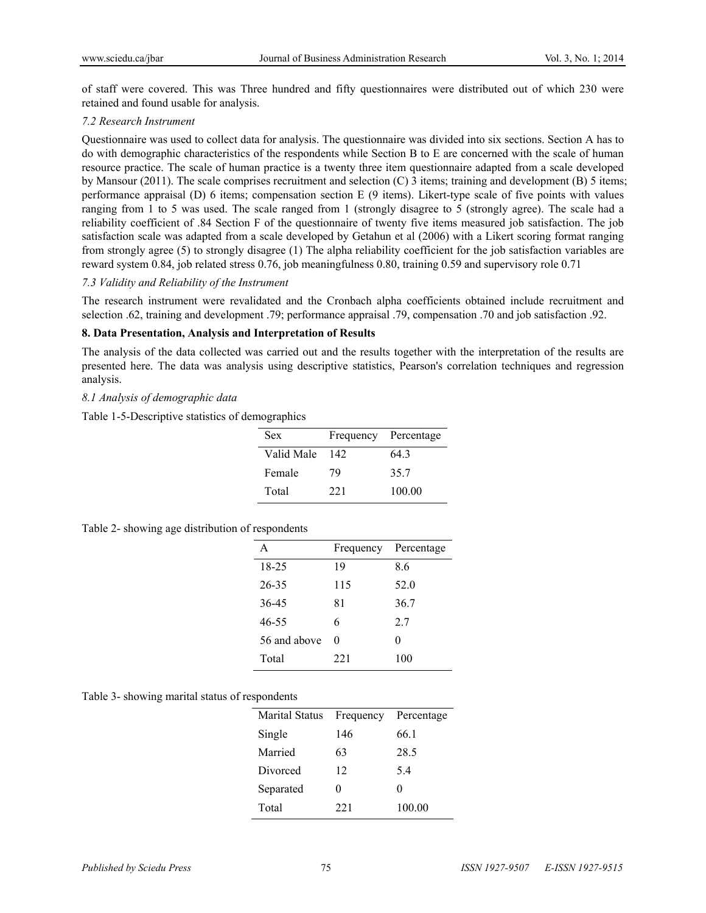of staff were covered. This was Three hundred and fifty questionnaires were distributed out of which 230 were retained and found usable for analysis.

### *7.2 Research Instrument*

Questionnaire was used to collect data for analysis. The questionnaire was divided into six sections. Section A has to do with demographic characteristics of the respondents while Section B to E are concerned with the scale of human resource practice. The scale of human practice is a twenty three item questionnaire adapted from a scale developed by Mansour (2011). The scale comprises recruitment and selection (C) 3 items; training and development (B) 5 items; performance appraisal (D) 6 items; compensation section E (9 items). Likert-type scale of five points with values ranging from 1 to 5 was used. The scale ranged from 1 (strongly disagree to 5 (strongly agree). The scale had a reliability coefficient of .84 Section F of the questionnaire of twenty five items measured job satisfaction. The job satisfaction scale was adapted from a scale developed by Getahun et al (2006) with a Likert scoring format ranging from strongly agree (5) to strongly disagree (1) The alpha reliability coefficient for the job satisfaction variables are reward system 0.84, job related stress 0.76, job meaningfulness 0.80, training 0.59 and supervisory role 0.71

### *7.3 Validity and Reliability of the Instrument*

The research instrument were revalidated and the Cronbach alpha coefficients obtained include recruitment and selection .62, training and development .79; performance appraisal .79, compensation .70 and job satisfaction .92.

### **8. Data Presentation, Analysis and Interpretation of Results**

The analysis of the data collected was carried out and the results together with the interpretation of the results are presented here. The data was analysis using descriptive statistics, Pearson's correlation techniques and regression analysis.

# *8.1 Analysis of demographic data*

Table 1-5-Descriptive statistics of demographics

| Sex        |     | Frequency Percentage |
|------------|-----|----------------------|
| Valid Male | 142 | 64.3                 |
| Female     | 79  | 35.7                 |
| Total      | 221 | 100.00               |

# Table 2- showing age distribution of respondents

| A            | Frequency | Percentage |
|--------------|-----------|------------|
| 18-25        | 19        | 8.6        |
| 26-35        | 115       | 52.0       |
| 36-45        | 81        | 36.7       |
| 46-55        | 6         | 2.7        |
| 56 and above | 0         | 0          |
| Total        | 221       | 100        |
|              |           |            |

Table 3- showing marital status of respondents

| <b>Marital Status</b> | Frequency    | Percentage        |
|-----------------------|--------------|-------------------|
| Single                | 146          | 66.1              |
| Married               | 63           | 28.5              |
| Divorced              | 12           | 54                |
| Separated             | $\mathbf{0}$ | $\mathbf{\Omega}$ |
| Total                 | 221          | 100.00            |
|                       |              |                   |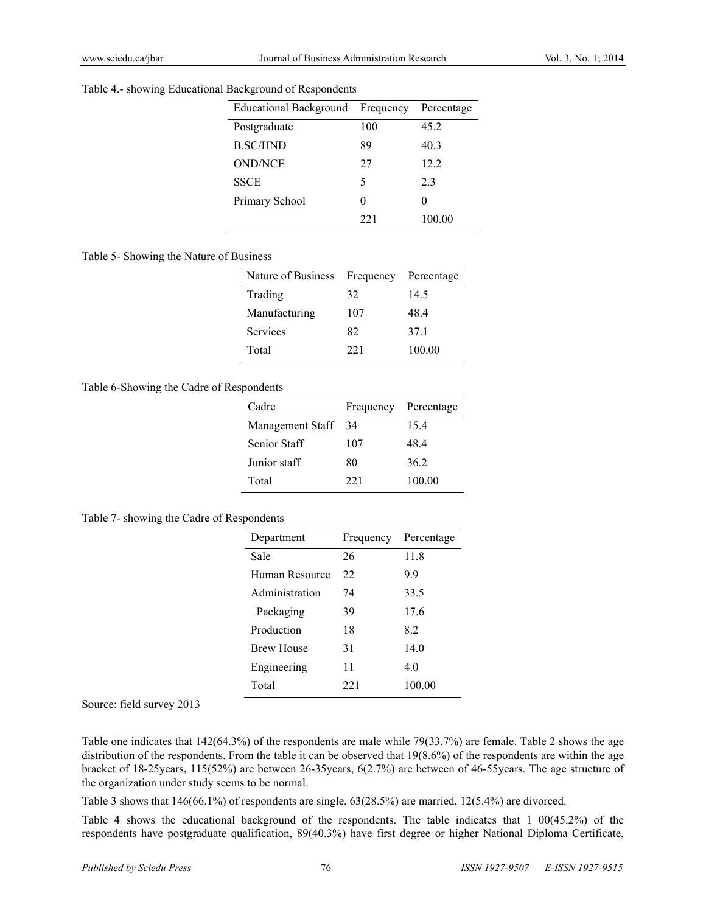### Table 4.- showing Educational Background of Respondents

| Educational Background Frequency |          | Percentage |
|----------------------------------|----------|------------|
| Postgraduate                     | 100      | 45.2       |
| <b>B.SC/HND</b>                  | 89       | 40.3       |
| <b>OND/NCE</b>                   | 27       | 12.2       |
| <b>SSCE</b>                      | 5        | 23         |
| Primary School                   | $\theta$ | 0          |
|                                  | 221      | 100.00     |
|                                  |          |            |

#### Table 5- Showing the Nature of Business

| Nature of Business | Frequency | Percentage |
|--------------------|-----------|------------|
| Trading            | 32        | 14.5       |
| Manufacturing      | 107       | 48.4       |
| <b>Services</b>    | 82        | 37.1       |
| Total              | 221       | 100.00     |

#### Table 6-Showing the Cadre of Respondents

| Cadre            | Frequency | Percentage |
|------------------|-----------|------------|
| Management Staff | 34        | 154        |
| Senior Staff     | 107       | 48.4       |
| Junior staff     | 80        | 36.2       |
| Total            | 221       | 100.00     |

#### Table 7- showing the Cadre of Respondents

| Frequency | Percentage |
|-----------|------------|
| 26        | 11.8       |
| 22        | 99         |
| 74        | 33.5       |
| 39        | 176        |
| 18        | 82         |
| 31        | 14 0       |
| 11        | 40         |
| 221       | 100.00     |
|           |            |

Source: field survey 2013

Table one indicates that 142(64.3%) of the respondents are male while 79(33.7%) are female. Table 2 shows the age distribution of the respondents. From the table it can be observed that 19(8.6%) of the respondents are within the age bracket of 18-25years, 115(52%) are between 26-35years, 6(2.7%) are between of 46-55years. The age structure of the organization under study seems to be normal.

Table 3 shows that 146(66.1%) of respondents are single, 63(28.5%) are married, 12(5.4%) are divorced.

Table 4 shows the educational background of the respondents. The table indicates that 1 00(45.2%) of the respondents have postgraduate qualification, 89(40.3%) have first degree or higher National Diploma Certificate,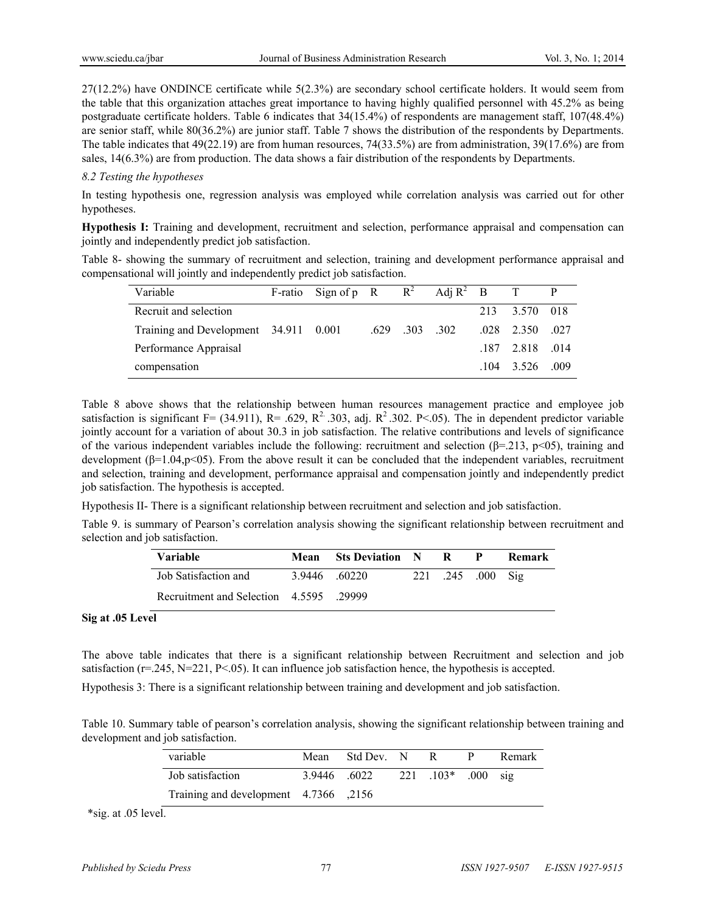27(12.2%) have ONDINCE certificate while 5(2.3%) are secondary school certificate holders. It would seem from the table that this organization attaches great importance to having highly qualified personnel with 45.2% as being postgraduate certificate holders. Table 6 indicates that 34(15.4%) of respondents are management staff, 107(48.4%) are senior staff, while 80(36.2%) are junior staff. Table 7 shows the distribution of the respondents by Departments. The table indicates that 49(22.19) are from human resources, 74(33.5%) are from administration, 39(17.6%) are from sales, 14(6.3%) are from production. The data shows a fair distribution of the respondents by Departments.

### *8.2 Testing the hypotheses*

In testing hypothesis one, regression analysis was employed while correlation analysis was carried out for other hypotheses.

**Hypothesis I:** Training and development, recruitment and selection, performance appraisal and compensation can jointly and independently predict job satisfaction.

Table 8- showing the summary of recruitment and selection, training and development performance appraisal and compensational will jointly and independently predict job satisfaction.

| Variable                              | F-ratio Sign of p R $R^2$ Adj $R^2$ B T |                      |  |               |       |
|---------------------------------------|-----------------------------------------|----------------------|--|---------------|-------|
| Recruit and selection                 |                                         |                      |  | 213 3.570 018 |       |
| Training and Development 34.911 0.001 |                                         | $.629$ $.303$ $.302$ |  | $.028$ 2.350  | - 027 |
| Performance Appraisal                 |                                         |                      |  | $.187$ 2.818  | .014  |
| compensation                          |                                         |                      |  | 104 3.526     | .009  |

Table 8 above shows that the relationship between human resources management practice and employee job satisfaction is significant F= (34.911), R= .629, R<sup>2</sup>.303, adj. R<sup>2</sup>.302. P<.05). The in dependent predictor variable jointly account for a variation of about 30.3 in job satisfaction. The relative contributions and levels of significance of the various independent variables include the following: recruitment and selection ( $\beta$ =.213, p<05), training and development (β=1.04,p<05). From the above result it can be concluded that the independent variables, recruitment and selection, training and development, performance appraisal and compensation jointly and independently predict job satisfaction. The hypothesis is accepted.

Hypothesis ІІ- There is a significant relationship between recruitment and selection and job satisfaction.

Table 9. is summary of Pearson's correlation analysis showing the significant relationship between recruitment and selection and job satisfaction.

| <b>Variable</b>                         | <b>Mean</b> Sts Deviation N | R                 | Remark |
|-----------------------------------------|-----------------------------|-------------------|--------|
| Job Satisfaction and                    | 39446 60220                 | 221 .245 .000 Sig |        |
| Recruitment and Selection 4.5595 .29999 |                             |                   |        |

#### **Sig at .05 Level**

The above table indicates that there is a significant relationship between Recruitment and selection and job satisfaction ( $r=245$ , N=221, P<.05). It can influence job satisfaction hence, the hypothesis is accepted.

Hypothesis 3: There is a significant relationship between training and development and job satisfaction.

Table 10. Summary table of pearson's correlation analysis, showing the significant relationship between training and development and job satisfaction.

| variable                              | Mean        | Std Dev. N R |                   |            | Remark |
|---------------------------------------|-------------|--------------|-------------------|------------|--------|
| Job satisfaction                      | 3.9446 6022 |              | $221 \quad .103*$ | $.000$ sig |        |
| 2156, Training and development 4.7366 |             |              |                   |            |        |

\*sig. at .05 level.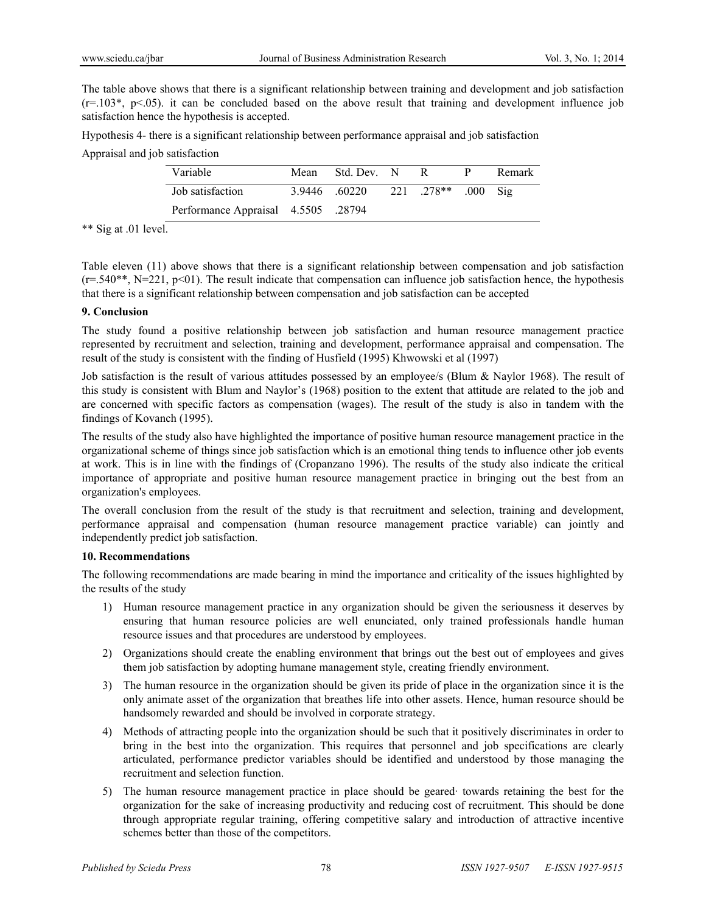The table above shows that there is a significant relationship between training and development and job satisfaction  $(r=103^*$ , p<.05), it can be concluded based on the above result that training and development influence job satisfaction hence the hypothesis is accepted.

Hypothesis 4- there is a significant relationship between performance appraisal and job satisfaction

Appraisal and job satisfaction

| Variable                            | Mean         | Std. Dev. N R |                     | <b>Remark</b> |
|-------------------------------------|--------------|---------------|---------------------|---------------|
| Job satisfaction                    | 3.9446 60220 |               | 221 .278** .000 Sig |               |
| Performance Appraisal 4.5505 .28794 |              |               |                     |               |

\*\* Sig at .01 level.

Table eleven (11) above shows that there is a significant relationship between compensation and job satisfaction  $(r=540**, N=221, p<01)$ . The result indicate that compensation can influence job satisfaction hence, the hypothesis that there is a significant relationship between compensation and job satisfaction can be accepted

# **9. Conclusion**

The study found a positive relationship between job satisfaction and human resource management practice represented by recruitment and selection, training and development, performance appraisal and compensation. The result of the study is consistent with the finding of Husfield (1995) Khwowski et al (1997)

Job satisfaction is the result of various attitudes possessed by an employee/s (Blum & Naylor 1968). The result of this study is consistent with Blum and Naylor's (1968) position to the extent that attitude are related to the job and are concerned with specific factors as compensation (wages). The result of the study is also in tandem with the findings of Kovanch (1995).

The results of the study also have highlighted the importance of positive human resource management practice in the organizational scheme of things since job satisfaction which is an emotional thing tends to influence other job events at work. This is in line with the findings of (Cropanzano 1996). The results of the study also indicate the critical importance of appropriate and positive human resource management practice in bringing out the best from an organization's employees.

The overall conclusion from the result of the study is that recruitment and selection, training and development, performance appraisal and compensation (human resource management practice variable) can jointly and independently predict job satisfaction.

# **10. Recommendations**

The following recommendations are made bearing in mind the importance and criticality of the issues highlighted by the results of the study

- 1) Human resource management practice in any organization should be given the seriousness it deserves by ensuring that human resource policies are well enunciated, only trained professionals handle human resource issues and that procedures are understood by employees.
- 2) Organizations should create the enabling environment that brings out the best out of employees and gives them job satisfaction by adopting humane management style, creating friendly environment.
- 3) The human resource in the organization should be given its pride of place in the organization since it is the only animate asset of the organization that breathes life into other assets. Hence, human resource should be handsomely rewarded and should be involved in corporate strategy.
- 4) Methods of attracting people into the organization should be such that it positively discriminates in order to bring in the best into the organization. This requires that personnel and job specifications are clearly articulated, performance predictor variables should be identified and understood by those managing the recruitment and selection function.
- 5) The human resource management practice in place should be geared· towards retaining the best for the organization for the sake of increasing productivity and reducing cost of recruitment. This should be done through appropriate regular training, offering competitive salary and introduction of attractive incentive schemes better than those of the competitors.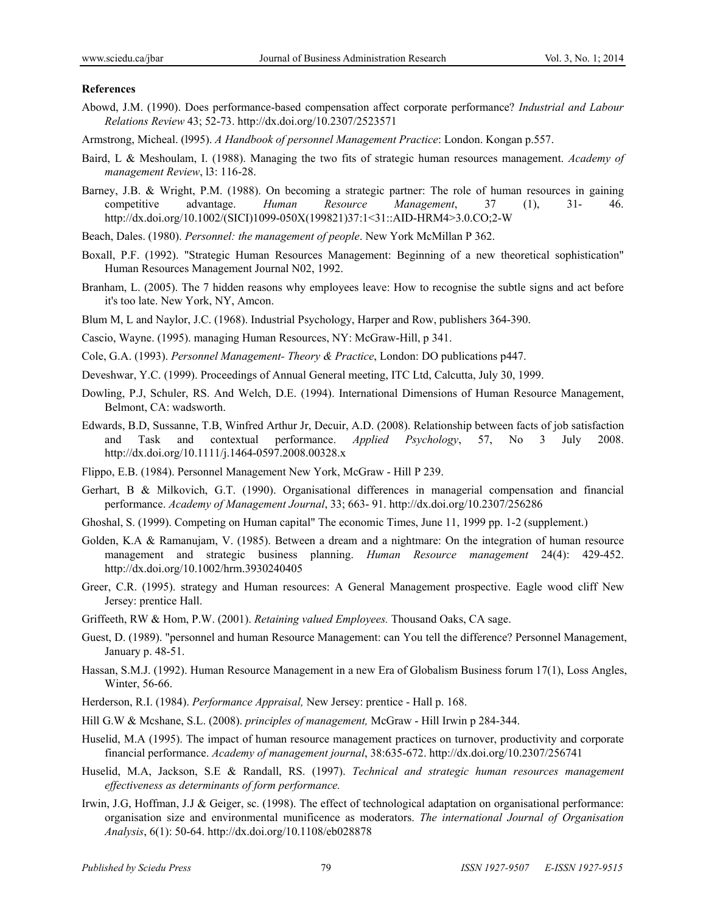#### **References**

- Abowd, J.M. (1990). Does performance-based compensation affect corporate performance? *Industrial and Labour Relations Review* 43; 52-73. http://dx.doi.org/10.2307/2523571
- Armstrong, Micheal. (l995). *A Handbook of personnel Management Practice*: London. Kongan p.557.
- Baird, L & Meshoulam, I. (1988). Managing the two fits of strategic human resources management. *Academy of management Review*, l3: 116-28.
- Barney, J.B. & Wright, P.M. (1988). On becoming a strategic partner: The role of human resources in gaining competitive advantage. *Human Resource Management*, 37 (1), 31- 46. http://dx.doi.org/10.1002/(SICI)1099-050X(199821)37:1<31::AID-HRM4>3.0.CO;2-W
- Beach, Dales. (1980). *Personnel: the management of people*. New York McMillan P 362.
- Boxall, P.F. (1992). "Strategic Human Resources Management: Beginning of a new theoretical sophistication" Human Resources Management Journal N02, 1992.
- Branham, L. (2005). The 7 hidden reasons why employees leave: How to recognise the subtle signs and act before it's too late. New York, NY, Amcon.
- Blum M, L and Naylor, J.C. (1968). Industrial Psychology, Harper and Row, publishers 364-390.
- Cascio, Wayne. (1995). managing Human Resources, NY: McGraw-Hill, p 341.
- Cole, G.A. (1993). *Personnel Management- Theory & Practice*, London: DO publications p447.
- Deveshwar, Y.C. (1999). Proceedings of Annual General meeting, ITC Ltd, Calcutta, July 30, 1999.
- Dowling, P.J, Schuler, RS. And Welch, D.E. (1994). International Dimensions of Human Resource Management, Belmont, CA: wadsworth.
- Edwards, B.D, Sussanne, T.B, Winfred Arthur Jr, Decuir, A.D. (2008). Relationship between facts of job satisfaction and Task and contextual performance. *Applied Psychology*, 57, No 3 July 2008. http://dx.doi.org/10.1111/j.1464-0597.2008.00328.x
- Flippo, E.B. (1984). Personnel Management New York, McGraw Hill P 239.
- Gerhart, B & Milkovich, G.T. (1990). Organisational differences in managerial compensation and financial performance. *Academy of Management Journal*, 33; 663- 91. http://dx.doi.org/10.2307/256286
- Ghoshal, S. (1999). Competing on Human capital" The economic Times, June 11, 1999 pp. 1-2 (supplement.)
- Golden, K.A & Ramanujam, V. (1985). Between a dream and a nightmare: On the integration of human resource management and strategic business planning. *Human Resource management* 24(4): 429-452. http://dx.doi.org/10.1002/hrm.3930240405
- Greer, C.R. (1995). strategy and Human resources: A General Management prospective. Eagle wood cliff New Jersey: prentice Hall.
- Griffeeth, RW & Hom, P.W. (2001). *Retaining valued Employees.* Thousand Oaks, CA sage.
- Guest, D. (1989). "personnel and human Resource Management: can You tell the difference? Personnel Management, January p. 48-51.
- Hassan, S.M.J. (1992). Human Resource Management in a new Era of Globalism Business forum 17(1), Loss Angles, Winter, 56-66.
- Herderson, R.I. (1984). *Performance Appraisal,* New Jersey: prentice Hall p. 168.
- Hill G.W & Mcshane, S.L. (2008). *principles of management,* McGraw Hill Irwin p 284-344.
- Huselid, M.A (1995). The impact of human resource management practices on turnover, productivity and corporate financial performance. *Academy of management journal*, 38:635-672. http://dx.doi.org/10.2307/256741
- Huselid, M.A, Jackson, S.E & Randall, RS. (1997). *Technical and strategic human resources management effectiveness as determinants of form performance.*
- Irwin, J.G, Hoffman, J.J & Geiger, sc. (1998). The effect of technological adaptation on organisational performance: organisation size and environmental munificence as moderators. *The international Journal of Organisation Analysis*, 6(1): 50-64. http://dx.doi.org/10.1108/eb028878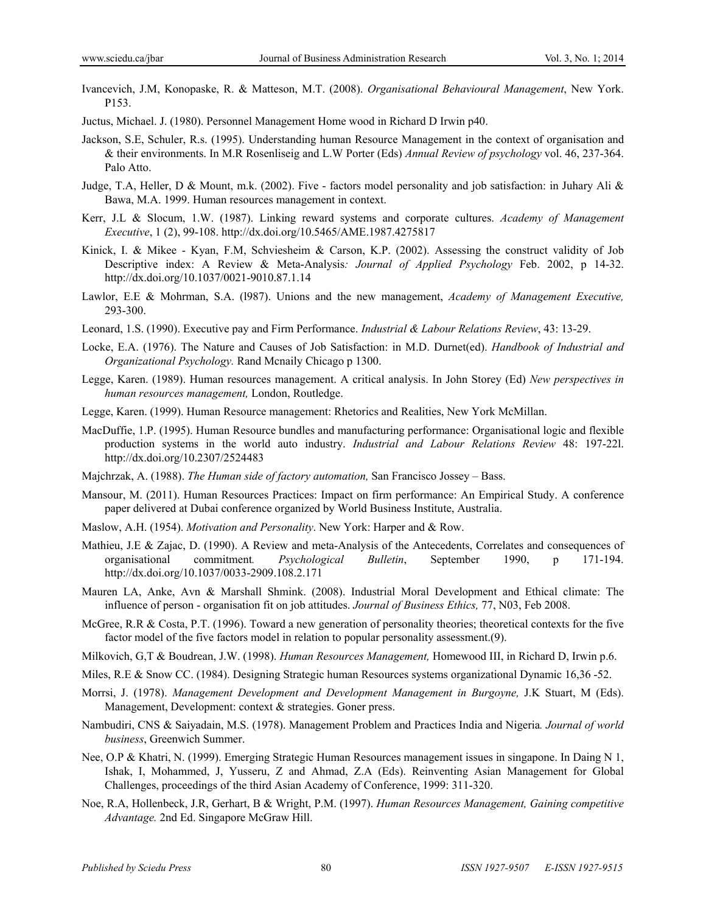- Ivancevich, J.M, Konopaske, R. & Matteson, M.T. (2008). *Organisational Behavioural Management*, New York. P153.
- Juctus, Michael. J. (1980). Personnel Management Home wood in Richard D Irwin p40.
- Jackson, S.E, Schuler, R.s. (1995). Understanding human Resource Management in the context of organisation and & their environments. In M.R Rosenliseig and L.W Porter (Eds) *Annual Review of psychology* vol. 46, 237-364. Palo Atto.
- Judge, T.A, Heller, D & Mount, m.k. (2002). Five factors model personality and job satisfaction: in Juhary Ali & Bawa, M.A. 1999. Human resources management in context.
- Kerr, J.L & Slocum, 1.W. (1987). Linking reward systems and corporate cultures. *Academy of Management Executive*, 1 (2), 99-108. http://dx.doi.org/10.5465/AME.1987.4275817
- Kinick, I. & Mikee Kyan, F.M, Schviesheim & Carson, K.P. (2002). Assessing the construct validity of Job Descriptive index: A Review & Meta-Analysis*: Journal of Applied Psychology* Feb. 2002, p 14-32. http://dx.doi.org/10.1037/0021-9010.87.1.14
- Lawlor, E.E & Mohrman, S.A. (l987). Unions and the new management, *Academy of Management Executive,*  293-300.
- Leonard, 1.S. (1990). Executive pay and Firm Performance. *Industrial & Labour Relations Review*, 43: 13-29.
- Locke, E.A. (1976). The Nature and Causes of Job Satisfaction: in M.D. Durnet(ed). *Handbook of Industrial and Organizational Psychology.* Rand Mcnaily Chicago p 1300.
- Legge, Karen. (1989). Human resources management. A critical analysis. In John Storey (Ed) *New perspectives in human resources management,* London, Routledge.
- Legge, Karen. (1999). Human Resource management: Rhetorics and Realities, New York McMillan.
- MacDuffie, 1.P. (1995). Human Resource bundles and manufacturing performance: Organisational logic and flexible production systems in the world auto industry. *Industrial and Labour Relations Review* 48: 197-22l. http://dx.doi.org/10.2307/2524483
- Majchrzak, A. (1988). *The Human side of factory automation,* San Francisco Jossey Bass.
- Mansour, M. (2011). Human Resources Practices: Impact on firm performance: An Empirical Study. A conference paper delivered at Dubai conference organized by World Business Institute, Australia.
- Maslow, A.H. (1954). *Motivation and Personality*. New York: Harper and & Row.
- Mathieu, J.E & Zajac, D. (1990). A Review and meta-Analysis of the Antecedents, Correlates and consequences of organisational commitment*. Psychological Bulletin*, September 1990, p 171-194. http://dx.doi.org/10.1037/0033-2909.108.2.171
- Mauren LA, Anke, Avn & Marshall Shmink. (2008). Industrial Moral Development and Ethical climate: The influence of person - organisation fit on job attitudes. *Journal of Business Ethics,* 77, N03, Feb 2008.
- McGree, R.R & Costa, P.T. (1996). Toward a new generation of personality theories; theoretical contexts for the five factor model of the five factors model in relation to popular personality assessment.(9).
- Milkovich, G,T & Boudrean, J.W. (1998). *Human Resources Management,* Homewood III, in Richard D, Irwin p.6.
- Miles, R.E & Snow CC. (1984). Designing Strategic human Resources systems organizational Dynamic 16,36 -52.
- Morrsi, J. (1978). *Management Development and Development Management in Burgoyne,* J.K Stuart, M (Eds). Management, Development: context & strategies. Goner press.
- Nambudiri, CNS & Saiyadain, M.S. (1978). Management Problem and Practices India and Nigeria*. Journal of world business*, Greenwich Summer.
- Nee, O.P & Khatri, N. (1999). Emerging Strategic Human Resources management issues in singapone. In Daing N 1, Ishak, I, Mohammed, J, Yusseru, Z and Ahmad, Z.A (Eds). Reinventing Asian Management for Global Challenges, proceedings of the third Asian Academy of Conference, 1999: 311-320.
- Noe, R.A, Hollenbeck, J.R, Gerhart, B & Wright, P.M. (1997). *Human Resources Management, Gaining competitive Advantage.* 2nd Ed. Singapore McGraw Hill.